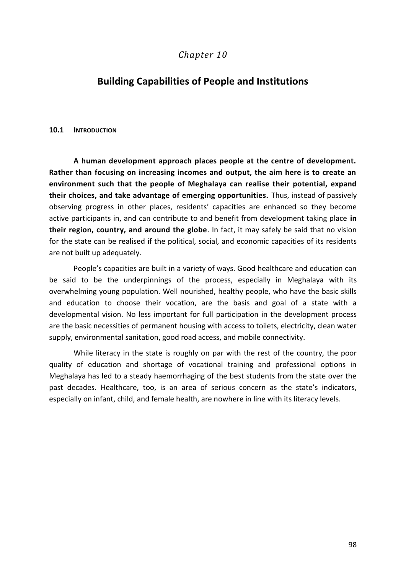# *Chapter 10*

# **Building Capabilities of People and Institutions**

#### **10.1 INTRODUCTION**

**A human development approach places people at the centre of development. Rather than focusing on increasing incomes and output, the aim here is to create an environment such that the people of Meghalaya can realise their potential, expand their choices, and take advantage of emerging opportunities.** Thus, instead of passively observing progress in other places, residents' capacities are enhanced so they become active participants in, and can contribute to and benefit from development taking place **in their region, country, and around the globe**. In fact, it may safely be said that no vision for the state can be realised if the political, social, and economic capacities of its residents are not built up adequately.

People's capacities are built in a variety of ways. Good healthcare and education can be said to be the underpinnings of the process, especially in Meghalaya with its overwhelming young population. Well nourished, healthy people, who have the basic skills and education to choose their vocation, are the basis and goal of a state with a developmental vision. No less important for full participation in the development process are the basic necessities of permanent housing with access to toilets, electricity, clean water supply, environmental sanitation, good road access, and mobile connectivity.

While literacy in the state is roughly on par with the rest of the country, the poor quality of education and shortage of vocational training and professional options in Meghalaya has led to a steady haemorrhaging of the best students from the state over the past decades. Healthcare, too, is an area of serious concern as the state's indicators, especially on infant, child, and female health, are nowhere in line with its literacy levels.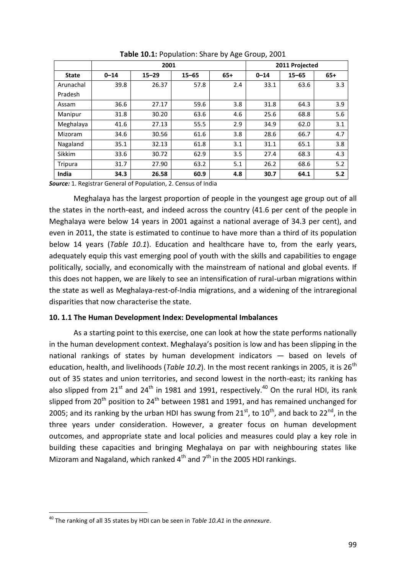|              |          | 2001      |           | 2011 Projected |          |           |       |
|--------------|----------|-----------|-----------|----------------|----------|-----------|-------|
| <b>State</b> | $0 - 14$ | $15 - 29$ | $15 - 65$ | $65+$          | $0 - 14$ | $15 - 65$ | $65+$ |
| Arunachal    | 39.8     | 26.37     | 57.8      | 2.4            | 33.1     | 63.6      | 3.3   |
| Pradesh      |          |           |           |                |          |           |       |
| Assam        | 36.6     | 27.17     | 59.6      | 3.8            | 31.8     | 64.3      | 3.9   |
| Manipur      | 31.8     | 30.20     | 63.6      | 4.6            | 25.6     | 68.8      | 5.6   |
| Meghalaya    | 41.6     | 27.13     | 55.5      | 2.9            | 34.9     | 62.0      | 3.1   |
| Mizoram      | 34.6     | 30.56     | 61.6      | 3.8            | 28.6     | 66.7      | 4.7   |
| Nagaland     | 35.1     | 32.13     | 61.8      | 3.1            | 31.1     | 65.1      | 3.8   |
| Sikkim       | 33.6     | 30.72     | 62.9      | 3.5            | 27.4     | 68.3      | 4.3   |
| Tripura      | 31.7     | 27.90     | 63.2      | 5.1            | 26.2     | 68.6      | 5.2   |
| India        | 34.3     | 26.58     | 60.9      | 4.8            | 30.7     | 64.1      | 5.2   |

**Table 10.1:** Population: Share by Age Group, 2001

*Source:* 1. Registrar General of Population, 2. Census of India

Meghalaya has the largest proportion of people in the youngest age group out of all the states in the north-east, and indeed across the country (41.6 per cent of the people in Meghalaya were below 14 years in 2001 against a national average of 34.3 per cent), and even in 2011, the state is estimated to continue to have more than a third of its population below 14 years (*Table 10.1*). Education and healthcare have to, from the early years, adequately equip this vast emerging pool of youth with the skills and capabilities to engage politically, socially, and economically with the mainstream of national and global events. If this does not happen, we are likely to see an intensification of rural-urban migrations within the state as well as Meghalaya-rest-of-India migrations, and a widening of the intraregional disparities that now characterise the state.

#### **10. 1.1 The Human Development Index: Developmental Imbalances**

As a starting point to this exercise, one can look at how the state performs nationally in the human development context. Meghalaya's position is low and has been slipping in the national rankings of states by human development indicators — based on levels of education, health, and livelihoods (*Table 10.2*). In the most recent rankings in 2005, it is 26<sup>th</sup> out of 35 states and union territories, and second lowest in the north-east; its ranking has also slipped from  $21^{st}$  and  $24^{th}$  in 1981 and 1991, respectively.<sup>40</sup> On the rural HDI, its rank slipped from 20<sup>th</sup> position to 24<sup>th</sup> between 1981 and 1991, and has remained unchanged for 2005; and its ranking by the urban HDI has swung from  $21^{st}$ , to  $10^{th}$ , and back to  $22^{nd}$ , in the three years under consideration. However, a greater focus on human development outcomes, and appropriate state and local policies and measures could play a key role in building these capacities and bringing Meghalaya on par with neighbouring states like Mizoram and Nagaland, which ranked  $4<sup>th</sup>$  and  $7<sup>th</sup>$  in the 2005 HDI rankings.

1

<sup>40</sup> The ranking of all 35 states by HDI can be seen in *Table 10.A1* in the *annexure*.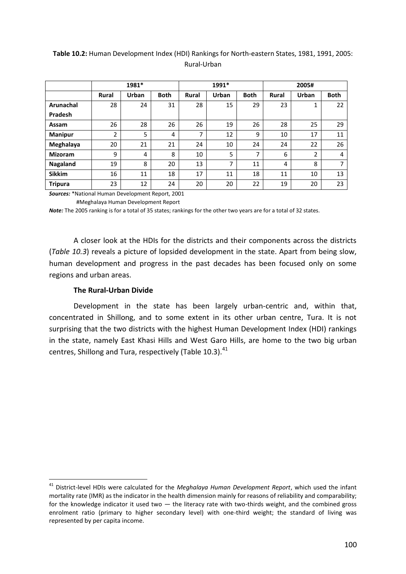### **Table 10.2:** Human Development Index (HDI) Rankings for North-eastern States, 1981, 1991, 2005: Rural-Urban

|                |              | 1981* |             |              | 1991* |             |              | 2005# |             |  |
|----------------|--------------|-------|-------------|--------------|-------|-------------|--------------|-------|-------------|--|
|                | <b>Rural</b> | Urban | <b>Both</b> | <b>Rural</b> | Urban | <b>Both</b> | <b>Rural</b> | Urban | <b>Both</b> |  |
| Arunachal      | 28           | 24    | 31          | 28           | 15    | 29          | 23           | 1     | 22          |  |
| Pradesh        |              |       |             |              |       |             |              |       |             |  |
| Assam          | 26           | 28    | 26          | 26           | 19    | 26          | 28           | 25    | 29          |  |
| <b>Manipur</b> | 2            | 5     | 4           | 7            | 12    | 9           | 10           | 17    | 11          |  |
| Meghalaya      | 20           | 21    | 21          | 24           | 10    | 24          | 24           | 22    | 26          |  |
| <b>Mizoram</b> | 9            | 4     | 8           | 10           | 5     | 7           | 6            | 2     | 4           |  |
| Nagaland       | 19           | 8     | 20          | 13           | 7     | 11          | 4            | 8     | 7           |  |
| <b>Sikkim</b>  | 16           | 11    | 18          | 17           | 11    | 18          | 11           | 10    | 13          |  |
| <b>Tripura</b> | 23           | 12    | 24          | 20           | 20    | 22          | 19           | 20    | 23          |  |

*Sources:* \*National Human Development Report, 2001

#Meghalaya Human Development Report

*Note:* The 2005 ranking is for a total of 35 states; rankings for the other two years are for a total of 32 states.

A closer look at the HDIs for the districts and their components across the districts (*Table 10.3*) reveals a picture of lopsided development in the state. Apart from being slow, human development and progress in the past decades has been focused only on some regions and urban areas.

#### **The Rural-Urban Divide**

-

Development in the state has been largely urban-centric and, within that, concentrated in Shillong, and to some extent in its other urban centre, Tura. It is not surprising that the two districts with the highest Human Development Index (HDI) rankings in the state, namely East Khasi Hills and West Garo Hills, are home to the two big urban centres, Shillong and Tura, respectively (Table 10.3). $^{41}$ 

<sup>41</sup> District-level HDIs were calculated for the *Meghalaya Human Development Report*, which used the infant mortality rate (IMR) as the indicator in the health dimension mainly for reasons of reliability and comparability; for the knowledge indicator it used two  $-$  the literacy rate with two-thirds weight, and the combined gross enrolment ratio (primary to higher secondary level) with one-third weight; the standard of living was represented by per capita income.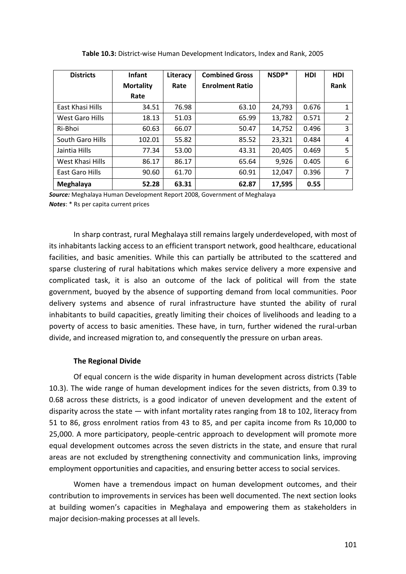| <b>Districts</b>       | <b>Infant</b>    | Literacy | <b>Combined Gross</b>  | NSDP*  | <b>HDI</b> | <b>HDI</b> |
|------------------------|------------------|----------|------------------------|--------|------------|------------|
|                        | <b>Mortality</b> | Rate     | <b>Enrolment Ratio</b> |        |            | Rank       |
|                        | Rate             |          |                        |        |            |            |
| East Khasi Hills       | 34.51            | 76.98    | 63.10                  | 24,793 | 0.676      | 1          |
| <b>West Garo Hills</b> | 18.13            | 51.03    | 65.99                  | 13,782 | 0.571      | 2          |
| Ri-Bhoi                | 60.63            | 66.07    | 50.47                  | 14,752 | 0.496      | 3          |
| South Garo Hills       | 102.01           | 55.82    | 85.52                  | 23,321 | 0.484      | 4          |
| Jaintia Hills          | 77.34            | 53.00    | 43.31                  | 20,405 | 0.469      | 5          |
| West Khasi Hills       | 86.17            | 86.17    | 65.64                  | 9,926  | 0.405      | 6          |
| East Garo Hills        | 90.60            | 61.70    | 60.91                  | 12,047 | 0.396      | 7          |
| Meghalaya              | 52.28            | 63.31    | 62.87                  | 17,595 | 0.55       |            |

| Table 10.3: District-wise Human Development Indicators, Index and Rank, 2005 |  |  |
|------------------------------------------------------------------------------|--|--|
|------------------------------------------------------------------------------|--|--|

*Source:* Meghalaya Human Development Report 2008, Government of Meghalaya *Notes*: \* Rs per capita current prices

In sharp contrast, rural Meghalaya still remains largely underdeveloped, with most of its inhabitants lacking access to an efficient transport network, good healthcare, educational facilities, and basic amenities. While this can partially be attributed to the scattered and sparse clustering of rural habitations which makes service delivery a more expensive and complicated task, it is also an outcome of the lack of political will from the state government, buoyed by the absence of supporting demand from local communities. Poor delivery systems and absence of rural infrastructure have stunted the ability of rural inhabitants to build capacities, greatly limiting their choices of livelihoods and leading to a poverty of access to basic amenities. These have, in turn, further widened the rural-urban divide, and increased migration to, and consequently the pressure on urban areas.

#### **The Regional Divide**

Of equal concern is the wide disparity in human development across districts (Table 10.3). The wide range of human development indices for the seven districts, from 0.39 to 0.68 across these districts, is a good indicator of uneven development and the extent of disparity across the state — with infant mortality rates ranging from 18 to 102, literacy from 51 to 86, gross enrolment ratios from 43 to 85, and per capita income from Rs 10,000 to 25,000. A more participatory, people-centric approach to development will promote more equal development outcomes across the seven districts in the state, and ensure that rural areas are not excluded by strengthening connectivity and communication links, improving employment opportunities and capacities, and ensuring better access to social services.

Women have a tremendous impact on human development outcomes, and their contribution to improvements in services has been well documented. The next section looks at building women's capacities in Meghalaya and empowering them as stakeholders in major decision-making processes at all levels.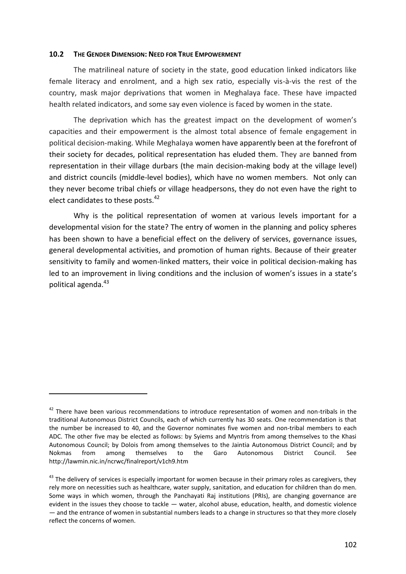#### **10.2 THE GENDER DIMENSION: NEED FOR TRUE EMPOWERMENT**

The matrilineal nature of society in the state, good education linked indicators like female literacy and enrolment, and a high sex ratio, especially vis-à-vis the rest of the country, mask major deprivations that women in Meghalaya face. These have impacted health related indicators, and some say even violence is faced by women in the state.

The deprivation which has the greatest impact on the development of women's capacities and their empowerment is the almost total absence of female engagement in political decision-making. While Meghalaya women have apparently been at the forefront of their society for decades, political representation has eluded them. They are banned from representation in their village durbars (the main decision-making body at the village level) and district councils (middle-level bodies), which have no women members. Not only can they never become tribal chiefs or village headpersons, they do not even have the right to elect candidates to these posts.<sup>42</sup>

Why is the political representation of women at various levels important for a developmental vision for the state? The entry of women in the planning and policy spheres has been shown to have a beneficial effect on the delivery of services, governance issues, general developmental activities, and promotion of human rights. Because of their greater sensitivity to family and women-linked matters, their voice in political decision-making has led to an improvement in living conditions and the inclusion of women's issues in a state's political agenda.<sup>43</sup>

-

<sup>&</sup>lt;sup>42</sup> There have been various recommendations to introduce representation of women and non-tribals in the traditional Autonomous District Councils, each of which currently has 30 seats. One recommendation is that the number be increased to 40, and the Governor nominates five women and non-tribal members to each ADC. The other five may be elected as follows: by Syiems and Myntris from among themselves to the Khasi Autonomous Council; by Dolois from among themselves to the Jaintia Autonomous District Council; and by Nokmas from among themselves to the Garo Autonomous District Council. See http://lawmin.nic.in/ncrwc/finalreport/v1ch9.htm

 $43$  The delivery of services is especially important for women because in their primary roles as caregivers, they rely more on necessities such as healthcare, water supply, sanitation, and education for children than do men. Some ways in which women, through the Panchayati Raj institutions (PRIs), are changing governance are evident in the issues they choose to tackle — water, alcohol abuse, education, health, and domestic violence — and the entrance of women in substantial numbers leads to a change in structures so that they more closely reflect the concerns of women.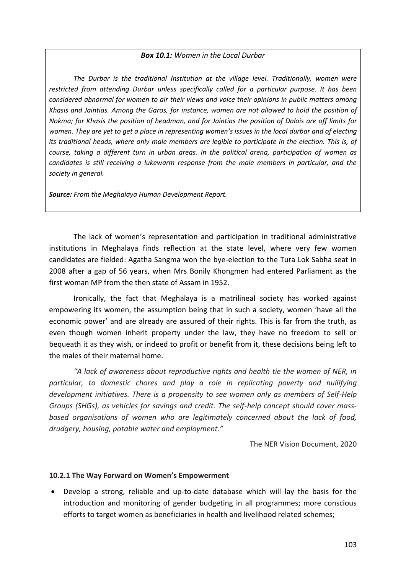#### *Box 10.1: Women in the Local Durbar*

*The Durbar is the traditional Institution at the village level. Traditionally, women were restricted from attending Durbar unless specifically called for a particular purpose. It has been considered abnormal for women to air their views and voice their opinions in public matters among Khasis and Jaintias. Among the Garos, for instance, women are not allowed to hold the position of Nokma; for Khasis the position of headman, and for Jaintias the position of Dalois are off limits for women. They are yet to get a place in representing women's issues in the local durbar and of electing its traditional heads, where only male members are legible to participate in the election. This is, of course, taking a different turn in urban areas. In the political arena, participation of women as candidates is still receiving a lukewarm response from the male members in particular, and the society in general.*

*Source: From the Meghalaya Human Development Report.*

The lack of women's representation and participation in traditional administrative institutions in Meghalaya finds reflection at the state level, where very few women candidates are fielded: Agatha Sangma won the bye-election to the Tura Lok Sabha seat in 2008 after a gap of 56 years, when Mrs Bonily Khongmen had entered Parliament as the first woman MP from the then state of Assam in 1952.

Ironically, the fact that Meghalaya is a matrilineal society has worked against empowering its women, the assumption being that in such a society, women 'have all the economic power' and are already are assured of their rights. This is far from the truth, as even though women inherit property under the law, they have no freedom to sell or bequeath it as they wish, or indeed to profit or benefit from it, these decisions being left to the males of their maternal home.

*"A lack of awareness about reproductive rights and health tie the women of NER, in particular, to domestic chores and play a role in replicating poverty and nullifying development initiatives. There is a propensity to see women only as members of Self-Help Groups (SHGs), as vehicles for savings and credit. The self-help concept should cover massbased organisations of women who are legitimately concerned about the lack of food, drudgery, housing, potable water and employment."* 

The NER Vision Document, 2020

#### **10.2.1 The Way Forward on Women's Empowerment**

 Develop a strong, reliable and up-to-date database which will lay the basis for the introduction and monitoring of gender budgeting in all programmes; more conscious efforts to target women as beneficiaries in health and livelihood related schemes;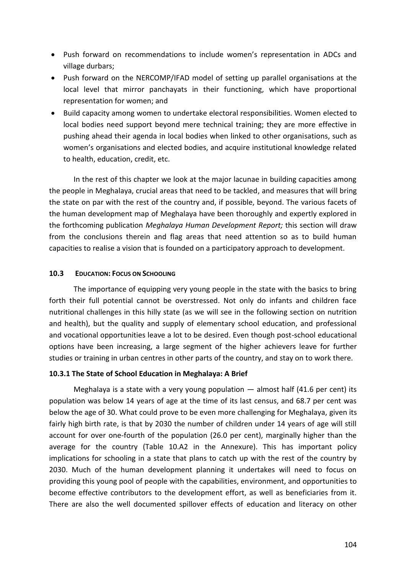- Push forward on recommendations to include women's representation in ADCs and village durbars;
- Push forward on the NERCOMP/IFAD model of setting up parallel organisations at the local level that mirror panchayats in their functioning, which have proportional representation for women; and
- Build capacity among women to undertake electoral responsibilities. Women elected to local bodies need support beyond mere technical training; they are more effective in pushing ahead their agenda in local bodies when linked to other organisations, such as women's organisations and elected bodies, and acquire institutional knowledge related to health, education, credit, etc.

In the rest of this chapter we look at the major lacunae in building capacities among the people in Meghalaya, crucial areas that need to be tackled, and measures that will bring the state on par with the rest of the country and, if possible, beyond. The various facets of the human development map of Meghalaya have been thoroughly and expertly explored in the forthcoming publication *Meghalaya Human Development Report;* this section will draw from the conclusions therein and flag areas that need attention so as to build human capacities to realise a vision that is founded on a participatory approach to development.

## **10.3 EDUCATION: FOCUS ON SCHOOLING**

The importance of equipping very young people in the state with the basics to bring forth their full potential cannot be overstressed. Not only do infants and children face nutritional challenges in this hilly state (as we will see in the following section on nutrition and health), but the quality and supply of elementary school education, and professional and vocational opportunities leave a lot to be desired. Even though post-school educational options have been increasing, a large segment of the higher achievers leave for further studies or training in urban centres in other parts of the country, and stay on to work there.

# **10.3.1 The State of School Education in Meghalaya: A Brief**

Meghalaya is a state with a very young population  $-$  almost half (41.6 per cent) its population was below 14 years of age at the time of its last census, and 68.7 per cent was below the age of 30. What could prove to be even more challenging for Meghalaya, given its fairly high birth rate, is that by 2030 the number of children under 14 years of age will still account for over one-fourth of the population (26.0 per cent), marginally higher than the average for the country (Table 10.A2 in the Annexure). This has important policy implications for schooling in a state that plans to catch up with the rest of the country by 2030. Much of the human development planning it undertakes will need to focus on providing this young pool of people with the capabilities, environment, and opportunities to become effective contributors to the development effort, as well as beneficiaries from it. There are also the well documented spillover effects of education and literacy on other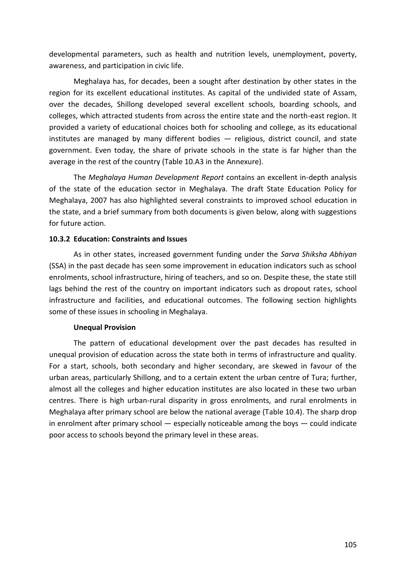developmental parameters, such as health and nutrition levels, unemployment, poverty, awareness, and participation in civic life.

Meghalaya has, for decades, been a sought after destination by other states in the region for its excellent educational institutes. As capital of the undivided state of Assam, over the decades, Shillong developed several excellent schools, boarding schools, and colleges, which attracted students from across the entire state and the north-east region. It provided a variety of educational choices both for schooling and college, as its educational institutes are managed by many different bodies — religious, district council, and state government. Even today, the share of private schools in the state is far higher than the average in the rest of the country (Table 10.A3 in the Annexure).

The *Meghalaya Human Development Report* contains an excellent in-depth analysis of the state of the education sector in Meghalaya. The draft State Education Policy for Meghalaya, 2007 has also highlighted several constraints to improved school education in the state, and a brief summary from both documents is given below, along with suggestions for future action.

## **10.3.2 Education: Constraints and Issues**

As in other states, increased government funding under the *Sarva Shiksha Abhiyan* (SSA) in the past decade has seen some improvement in education indicators such as school enrolments, school infrastructure, hiring of teachers, and so on. Despite these, the state still lags behind the rest of the country on important indicators such as dropout rates, school infrastructure and facilities, and educational outcomes. The following section highlights some of these issues in schooling in Meghalaya.

#### **Unequal Provision**

The pattern of educational development over the past decades has resulted in unequal provision of education across the state both in terms of infrastructure and quality. For a start, schools, both secondary and higher secondary, are skewed in favour of the urban areas, particularly Shillong, and to a certain extent the urban centre of Tura; further, almost all the colleges and higher education institutes are also located in these two urban centres. There is high urban-rural disparity in gross enrolments, and rural enrolments in Meghalaya after primary school are below the national average (Table 10.4). The sharp drop in enrolment after primary school  $-$  especially noticeable among the boys  $-$  could indicate poor access to schools beyond the primary level in these areas.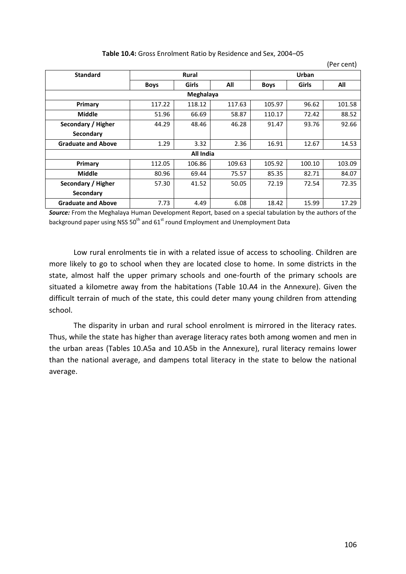| <b>Standard</b>           | <b>Rural</b> |              |        | Urban       |        |        |  |  |  |
|---------------------------|--------------|--------------|--------|-------------|--------|--------|--|--|--|
|                           | <b>Boys</b>  | <b>Girls</b> | All    | <b>Boys</b> | Girls  | All    |  |  |  |
|                           | Meghalaya    |              |        |             |        |        |  |  |  |
| Primary                   | 117.22       | 118.12       | 117.63 | 105.97      | 96.62  | 101.58 |  |  |  |
| <b>Middle</b>             | 51.96        | 66.69        | 58.87  | 110.17      | 72.42  | 88.52  |  |  |  |
| Secondary / Higher        | 44.29        | 48.46        | 46.28  | 91.47       | 93.76  | 92.66  |  |  |  |
| Secondary                 |              |              |        |             |        |        |  |  |  |
| <b>Graduate and Above</b> | 1.29         | 3.32         | 2.36   | 16.91       | 12.67  | 14.53  |  |  |  |
|                           |              | All India    |        |             |        |        |  |  |  |
| Primary                   | 112.05       | 106.86       | 109.63 | 105.92      | 100.10 | 103.09 |  |  |  |
| <b>Middle</b>             | 80.96        | 69.44        | 75.57  | 85.35       | 82.71  | 84.07  |  |  |  |
| Secondary / Higher        | 57.30        | 41.52        | 50.05  | 72.19       | 72.54  | 72.35  |  |  |  |
| Secondary                 |              |              |        |             |        |        |  |  |  |
| <b>Graduate and Above</b> | 7.73         | 4.49         | 6.08   | 18.42       | 15.99  | 17.29  |  |  |  |

#### **Table 10.4:** Gross Enrolment Ratio by Residence and Sex, 2004–05

*Source:* From the Meghalaya Human Development Report, based on a special tabulation by the authors of the background paper using NSS  $50<sup>th</sup>$  and  $61<sup>st</sup>$  round Employment and Unemployment Data

Low rural enrolments tie in with a related issue of access to schooling. Children are more likely to go to school when they are located close to home. In some districts in the state, almost half the upper primary schools and one-fourth of the primary schools are situated a kilometre away from the habitations (Table 10.A4 in the Annexure). Given the difficult terrain of much of the state, this could deter many young children from attending school.

The disparity in urban and rural school enrolment is mirrored in the literacy rates. Thus, while the state has higher than average literacy rates both among women and men in the urban areas (Tables 10.A5a and 10.A5b in the Annexure), rural literacy remains lower than the national average, and dampens total literacy in the state to below the national average.

(Per cent)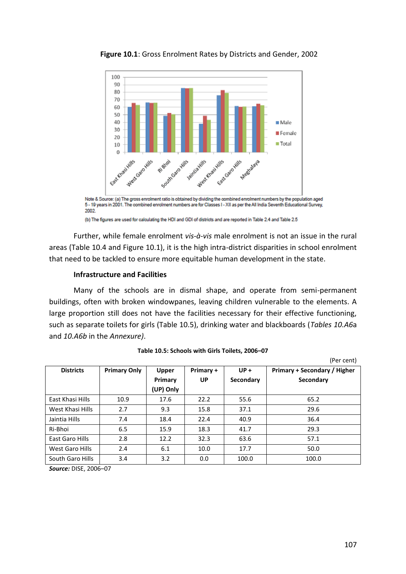

**Figure 10.1**: Gross Enrolment Rates by Districts and Gender, 2002

(b) The figures are used for calculating the HDI and GDI of districts and are reported in Table 2.4 and Table 2.5

Further, while female enrolment *vis-à-vis* male enrolment is not an issue in the rural areas (Table 10.4 and Figure 10.1), it is the high intra-district disparities in school enrolment that need to be tackled to ensure more equitable human development in the state.

## **Infrastructure and Facilities**

Many of the schools are in dismal shape, and operate from semi-permanent buildings, often with broken windowpanes, leaving children vulnerable to the elements. A large proportion still does not have the facilities necessary for their effective functioning, such as separate toilets for girls (Table 10.5), drinking water and blackboards (*Tables 10.A6*a and *10.A6b* in the *Annexure)*.

|                  |                     |              |           |           | irei ceilti                         |
|------------------|---------------------|--------------|-----------|-----------|-------------------------------------|
| <b>Districts</b> | <b>Primary Only</b> | <b>Upper</b> | Primary + | $UP +$    | <b>Primary + Secondary / Higher</b> |
|                  |                     | Primary      | <b>UP</b> | Secondary | Secondary                           |
|                  |                     | (UP) Only    |           |           |                                     |
| East Khasi Hills | 10.9                | 17.6         | 22.2      | 55.6      | 65.2                                |
| West Khasi Hills | 2.7                 | 9.3          | 15.8      | 37.1      | 29.6                                |
| Jaintia Hills    | 7.4                 | 18.4         | 22.4      | 40.9      | 36.4                                |
| Ri-Bhoi          | 6.5                 | 15.9         | 18.3      | 41.7      | 29.3                                |
| East Garo Hills  | 2.8                 | 12.2         | 32.3      | 63.6      | 57.1                                |
| West Garo Hills  | 2.4                 | 6.1          | 10.0      | 17.7      | 50.0                                |
| South Garo Hills | 3.4                 | 3.2          | 0.0       | 100.0     | 100.0                               |

| Table 10.5: Schools with Girls Toilets, 2006-07 |  |
|-------------------------------------------------|--|
|-------------------------------------------------|--|

*Source:* DISE, 2006–07

 $(Dor cont)$ 

Note & Source: (a) The gross enrolment ratio is obtained by dividing the combined enrolment numbers by the population aged 5 - 19 years in 2001. The combined enrolment numbers are for Classes I - XII as per the All India Seventh Educational Survey, 2002.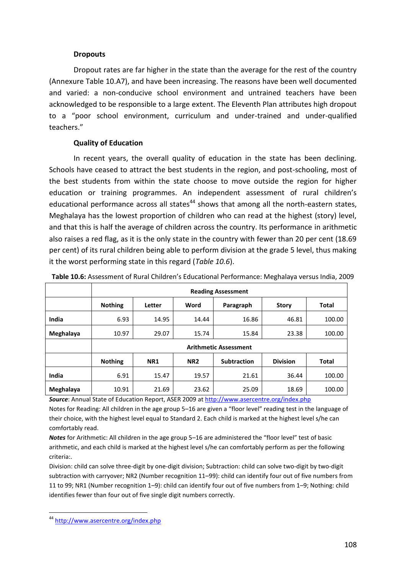### **Dropouts**

Dropout rates are far higher in the state than the average for the rest of the country (Annexure Table 10.A7), and have been increasing. The reasons have been well documented and varied: a non-conducive school environment and untrained teachers have been acknowledged to be responsible to a large extent. The Eleventh Plan attributes high dropout to a "poor school environment, curriculum and under-trained and under-qualified teachers."

## **Quality of Education**

In recent years, the overall quality of education in the state has been declining. Schools have ceased to attract the best students in the region, and post-schooling, most of the best students from within the state choose to move outside the region for higher education or training programmes. An independent assessment of rural children's educational performance across all states<sup>44</sup> shows that among all the north-eastern states, Meghalaya has the lowest proportion of children who can read at the highest (story) level, and that this is half the average of children across the country. Its performance in arithmetic also raises a red flag, as it is the only state in the country with fewer than 20 per cent (18.69 per cent) of its rural children being able to perform division at the grade 5 level, thus making it the worst performing state in this regard (*Table 10.6*).

|           | <b>Reading Assessment</b>    |            |                 |                    |                 |              |  |
|-----------|------------------------------|------------|-----------------|--------------------|-----------------|--------------|--|
|           | <b>Nothing</b>               | Letter     | Word            | Paragraph          | <b>Story</b>    | <b>Total</b> |  |
| India     | 6.93                         | 14.95      | 14.44           | 16.86              | 46.81           | 100.00       |  |
| Meghalaya | 10.97                        | 29.07      | 15.74           | 15.84              | 23.38           | 100.00       |  |
|           | <b>Arithmetic Assessment</b> |            |                 |                    |                 |              |  |
|           | <b>Nothing</b>               | <b>NR1</b> | NR <sub>2</sub> | <b>Subtraction</b> | <b>Division</b> | <b>Total</b> |  |
| India     | 6.91                         | 15.47      | 19.57           | 21.61              | 36.44           | 100.00       |  |
| Meghalaya | 10.91                        | 21.69      | 23.62           | 25.09              | 18.69           | 100.00       |  |

**Table 10.6:** Assessment of Rural Children's Educational Performance: Meghalaya versus India, 2009

*Source*: Annual State of Education Report, ASER 2009 a[t http://www.asercentre.org/index.php](http://www.asercentre.org/index.php)

Notes for Reading: All children in the age group 5–16 are given a "floor level" reading test in the language of their choice, with the highest level equal to Standard 2. Each child is marked at the highest level s/he can comfortably read.

*Notes* for Arithmetic: All children in the age group 5–16 are administered the "floor level" test of basic arithmetic, and each child is marked at the highest level s/he can comfortably perform as per the following criteria:.

Division: child can solve three-digit by one-digit division; Subtraction: child can solve two-digit by two-digit subtraction with carryover; NR2 (Number recognition 11–99): child can identify four out of five numbers from 11 to 99; NR1 (Number recognition 1–9): child can identify four out of five numbers from 1–9; Nothing: child identifies fewer than four out of five single digit numbers correctly.

<sup>1</sup> <sup>44</sup> <http://www.asercentre.org/index.php>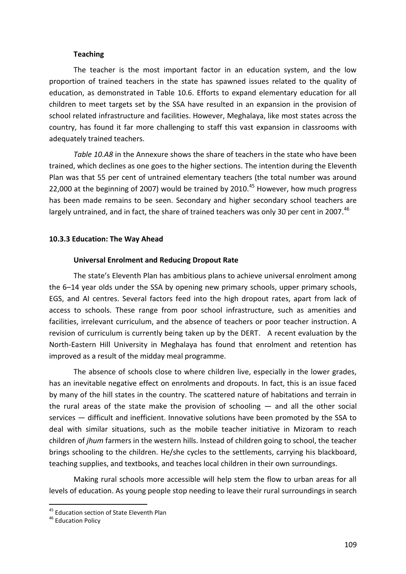#### **Teaching**

The teacher is the most important factor in an education system, and the low proportion of trained teachers in the state has spawned issues related to the quality of education, as demonstrated in Table 10.6. Efforts to expand elementary education for all children to meet targets set by the SSA have resulted in an expansion in the provision of school related infrastructure and facilities. However, Meghalaya, like most states across the country, has found it far more challenging to staff this vast expansion in classrooms with adequately trained teachers.

*Table 10.A8* in the Annexure shows the share of teachers in the state who have been trained, which declines as one goes to the higher sections. The intention during the Eleventh Plan was that 55 per cent of untrained elementary teachers (the total number was around 22,000 at the beginning of 2007) would be trained by 2010.<sup>45</sup> However, how much progress has been made remains to be seen. Secondary and higher secondary school teachers are largely untrained, and in fact, the share of trained teachers was only 30 per cent in 2007.<sup>46</sup>

#### **10.3.3 Education: The Way Ahead**

#### **Universal Enrolment and Reducing Dropout Rate**

The state's Eleventh Plan has ambitious plans to achieve universal enrolment among the 6–14 year olds under the SSA by opening new primary schools, upper primary schools, EGS, and AI centres. Several factors feed into the high dropout rates, apart from lack of access to schools. These range from poor school infrastructure, such as amenities and facilities, irrelevant curriculum, and the absence of teachers or poor teacher instruction. A revision of curriculum is currently being taken up by the DERT. A recent evaluation by the North-Eastern Hill University in Meghalaya has found that enrolment and retention has improved as a result of the midday meal programme.

The absence of schools close to where children live, especially in the lower grades, has an inevitable negative effect on enrolments and dropouts. In fact, this is an issue faced by many of the hill states in the country. The scattered nature of habitations and terrain in the rural areas of the state make the provision of schooling  $-$  and all the other social services — difficult and inefficient. Innovative solutions have been promoted by the SSA to deal with similar situations, such as the mobile teacher initiative in Mizoram to reach children of *jhum* farmers in the western hills. Instead of children going to school, the teacher brings schooling to the children. He/she cycles to the settlements, carrying his blackboard, teaching supplies, and textbooks, and teaches local children in their own surroundings.

Making rural schools more accessible will help stem the flow to urban areas for all levels of education. As young people stop needing to leave their rural surroundings in search

-

<sup>&</sup>lt;sup>45</sup> Education section of State Eleventh Plan

<sup>&</sup>lt;sup>46</sup> Education Policy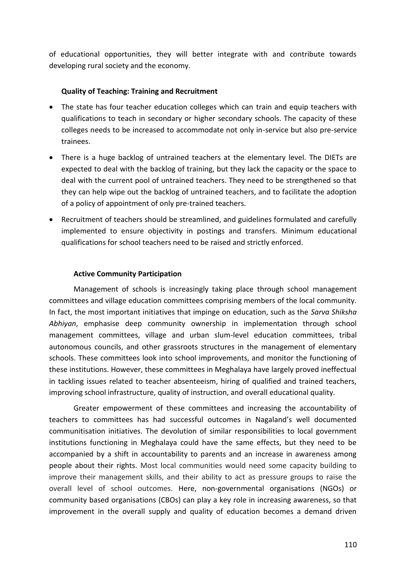of educational opportunities, they will better integrate with and contribute towards developing rural society and the economy.

## **Quality of Teaching: Training and Recruitment**

- The state has four teacher education colleges which can train and equip teachers with qualifications to teach in secondary or higher secondary schools. The capacity of these colleges needs to be increased to accommodate not only in-service but also pre-service trainees.
- There is a huge backlog of untrained teachers at the elementary level. The DIETs are expected to deal with the backlog of training, but they lack the capacity or the space to deal with the current pool of untrained teachers. They need to be strengthened so that they can help wipe out the backlog of untrained teachers, and to facilitate the adoption of a policy of appointment of only pre-trained teachers.
- Recruitment of teachers should be streamlined, and guidelines formulated and carefully implemented to ensure objectivity in postings and transfers. Minimum educational qualifications for school teachers need to be raised and strictly enforced.

## **Active Community Participation**

Management of schools is increasingly taking place through school management committees and village education committees comprising members of the local community. In fact, the most important initiatives that impinge on education, such as the *Sarva Shiksha Abhiyan*, emphasise deep community ownership in implementation through school management committees, village and urban slum-level education committees, tribal autonomous councils, and other grassroots structures in the management of elementary schools. These committees look into school improvements, and monitor the functioning of these institutions. However, these committees in Meghalaya have largely proved ineffectual in tackling issues related to teacher absenteeism, hiring of qualified and trained teachers, improving school infrastructure, quality of instruction, and overall educational quality.

Greater empowerment of these committees and increasing the accountability of teachers to committees has had successful outcomes in Nagaland's well documented communitisation initiatives. The devolution of similar responsibilities to local government institutions functioning in Meghalaya could have the same effects, but they need to be accompanied by a shift in accountability to parents and an increase in awareness among people about their rights. Most local communities would need some capacity building to improve their management skills, and their ability to act as pressure groups to raise the overall level of school outcomes. Here, non-governmental organisations (NGOs) or community based organisations (CBOs) can play a key role in increasing awareness, so that improvement in the overall supply and quality of education becomes a demand driven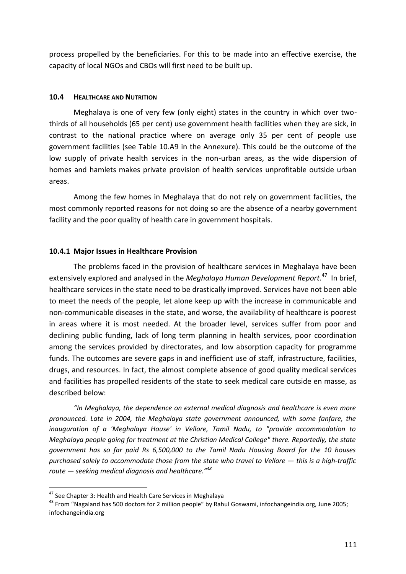process propelled by the beneficiaries. For this to be made into an effective exercise, the capacity of local NGOs and CBOs will first need to be built up.

### **10.4 HEALTHCARE AND NUTRITION**

Meghalaya is one of very few (only eight) states in the country in which over twothirds of all households (65 per cent) use government health facilities when they are sick, in contrast to the national practice where on average only 35 per cent of people use government facilities (see Table 10.A9 in the Annexure). This could be the outcome of the low supply of private health services in the non-urban areas, as the wide dispersion of homes and hamlets makes private provision of health services unprofitable outside urban areas.

Among the few homes in Meghalaya that do not rely on government facilities, the most commonly reported reasons for not doing so are the absence of a nearby government facility and the poor quality of health care in government hospitals.

# **10.4.1 Major Issues in Healthcare Provision**

The problems faced in the provision of healthcare services in Meghalaya have been extensively explored and analysed in the *Meghalaya Human Development Report*. 47 In brief, healthcare services in the state need to be drastically improved. Services have not been able to meet the needs of the people, let alone keep up with the increase in communicable and non-communicable diseases in the state, and worse, the availability of healthcare is poorest in areas where it is most needed. At the broader level, services suffer from poor and declining public funding, lack of long term planning in health services, poor coordination among the services provided by directorates, and low absorption capacity for programme funds. The outcomes are severe gaps in and inefficient use of staff, infrastructure, facilities, drugs, and resources. In fact, the almost complete absence of good quality medical services and facilities has propelled residents of the state to seek medical care outside en masse, as described below:

*"In Meghalaya, the dependence on external medical diagnosis and healthcare is even more pronounced. Late in 2004, the Meghalaya state government announced, with some fanfare, the inauguration of a 'Meghalaya House' in Vellore, Tamil Nadu, to "provide accommodation to Meghalaya people going for treatment at the Christian Medical College" there. Reportedly, the state government has so far paid Rs 6,500,000 to the Tamil Nadu Housing Board for the 10 houses purchased solely to accommodate those from the state who travel to Vellore — this is a high-traffic route — seeking medical diagnosis and healthcare."<sup>48</sup>*

-

 $47$  See Chapter 3: Health and Health Care Services in Meghalaya

<sup>&</sup>lt;sup>48</sup> From "Nagaland has 500 doctors for 2 million people" by Rahul Goswami, infochangeindia.org, June 2005; infochangeindia.org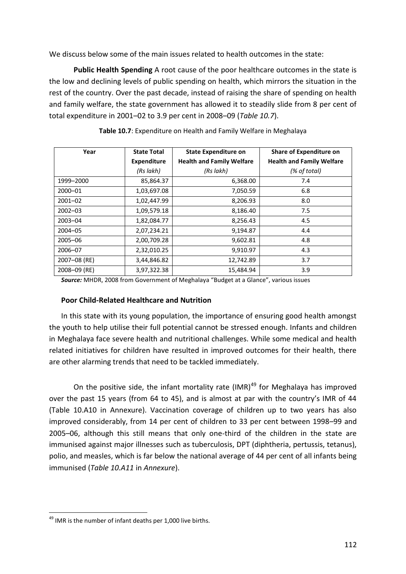We discuss below some of the main issues related to health outcomes in the state:

**Public Health Spending** A root cause of the poor healthcare outcomes in the state is the low and declining levels of public spending on health, which mirrors the situation in the rest of the country. Over the past decade, instead of raising the share of spending on health and family welfare, the state government has allowed it to steadily slide from 8 per cent of total expenditure in 2001–02 to 3.9 per cent in 2008–09 (*Table 10.7*).

| Year         | <b>State Total</b> | <b>State Expenditure on</b>      | <b>Share of Expenditure on</b>   |
|--------------|--------------------|----------------------------------|----------------------------------|
|              | <b>Expenditure</b> | <b>Health and Family Welfare</b> | <b>Health and Family Welfare</b> |
|              | (Rs lakh)          | (Rs lakh)                        | (% of total)                     |
| 1999-2000    | 85,864.37          | 6,368.00                         | 7.4                              |
| 2000-01      | 1,03,697.08        | 7,050.59                         | 6.8                              |
| $2001 - 02$  | 1,02,447.99        | 8,206.93                         | 8.0                              |
| $2002 - 03$  | 1,09,579.18        | 8,186.40                         | 7.5                              |
| $2003 - 04$  | 1,82,084.77        | 8,256.43                         | 4.5                              |
| $2004 - 05$  | 2,07,234.21        | 9,194.87                         | 4.4                              |
| 2005-06      | 2,00,709.28        | 9,602.81                         | 4.8                              |
| 2006-07      | 2,32,010.25        | 9,910.97                         | 4.3                              |
| 2007-08 (RE) | 3,44,846.82        | 12,742.89                        | 3.7                              |
| 2008-09 (RE) | 3,97,322.38        | 15,484.94                        | 3.9                              |

| Table 10.7: Expenditure on Health and Family Welfare in Meghalaya |  |
|-------------------------------------------------------------------|--|
|-------------------------------------------------------------------|--|

*Source:* MHDR, 2008 from Government of Meghalaya "Budget at a Glance", various issues

#### **Poor Child-Related Healthcare and Nutrition**

In this state with its young population, the importance of ensuring good health amongst the youth to help utilise their full potential cannot be stressed enough. Infants and children in Meghalaya face severe health and nutritional challenges. While some medical and health related initiatives for children have resulted in improved outcomes for their health, there are other alarming trends that need to be tackled immediately.

On the positive side, the infant mortality rate (IMR)<sup>49</sup> for Meghalaya has improved over the past 15 years (from 64 to 45), and is almost at par with the country's IMR of 44 (Table 10.A10 in Annexure). Vaccination coverage of children up to two years has also improved considerably, from 14 per cent of children to 33 per cent between 1998–99 and 2005–06, although this still means that only one-third of the children in the state are immunised against major illnesses such as tuberculosis, DPT (diphtheria, pertussis, tetanus), polio, and measles, which is far below the national average of 44 per cent of all infants being immunised (*Table 10.A11* in *Annexure*).

<sup>1</sup> <sup>49</sup> IMR is the number of infant deaths per 1,000 live births.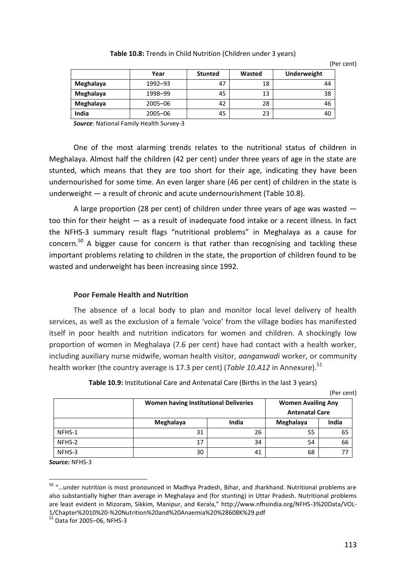| Table 10.8: Trends in Child Nutrition (Children under 3 years) |  |
|----------------------------------------------------------------|--|
|----------------------------------------------------------------|--|

(Per cent)

|           | Year        | <b>Stunted</b> | Wasted | <b>Underweight</b> |
|-----------|-------------|----------------|--------|--------------------|
| Meghalaya | 1992-93     | 47             | 18     | 44                 |
| Meghalaya | 1998-99     | 45             | 13     | 38                 |
| Meghalaya | 2005-06     | 42             | 28     | 46                 |
| India     | $2005 - 06$ | 45             | 23     | 40                 |

*Source*: National Family Health Survey-3

One of the most alarming trends relates to the nutritional status of children in Meghalaya. Almost half the children (42 per cent) under three years of age in the state are stunted, which means that they are too short for their age, indicating they have been undernourished for some time. An even larger share (46 per cent) of children in the state is underweight — a result of chronic and acute undernourishment (Table 10.8).

A large proportion (28 per cent) of children under three years of age was wasted too thin for their height — as a result of inadequate food intake or a recent illness. In fact the NFHS-3 summary result flags "nutritional problems" in Meghalaya as a cause for concern.<sup>50</sup> A bigger cause for concern is that rather than recognising and tackling these important problems relating to children in the state, the proportion of children found to be wasted and underweight has been increasing since 1992.

#### **Poor Female Health and Nutrition**

The absence of a local body to plan and monitor local level delivery of health services, as well as the exclusion of a female 'voice' from the village bodies has manifested itself in poor health and nutrition indicators for women and children. A shockingly low proportion of women in Meghalaya (7.6 per cent) have had contact with a health worker, including auxiliary nurse midwife, woman health visitor, *aanganwadi* worker, or community health worker (the country average is 17.3 per cent) (*Table 10.A12* in Annexure).<sup>51</sup>

|        | <b>Women having Institutional Deliveries</b> | <b>Women Availing Any</b><br><b>Antenatal Care</b> |           |       |
|--------|----------------------------------------------|----------------------------------------------------|-----------|-------|
|        | Meghalaya                                    | India                                              | Meghalaya | India |
| NFHS-1 | 31                                           | 26                                                 | 55        | 65    |
| NFHS-2 | 17                                           | 34                                                 | 54        | 66    |
| NFHS-3 | 30                                           | 41                                                 | 68        | 77    |

**Table 10.9:** Institutional Care and Antenatal Care (Births in the last 3 years)

(Per cent)

*Source:* NFHS-3

-

<sup>&</sup>lt;sup>50</sup> "...under nutrition is most pronounced in Madhya Pradesh, Bihar, and Jharkhand. Nutritional problems are also substantially higher than average in Meghalaya and (for stunting) in Uttar Pradesh. Nutritional problems are least evident in Mizoram, Sikkim, Manipur, and Kerala," http://www.nfhsindia.org/NFHS-3%20Data/VOL-1/Chapter%2010%20-%20Nutrition%20and%20Anaemia%20%28608K%29.pdf

 $51$  Data for 2005–06, NFHS-3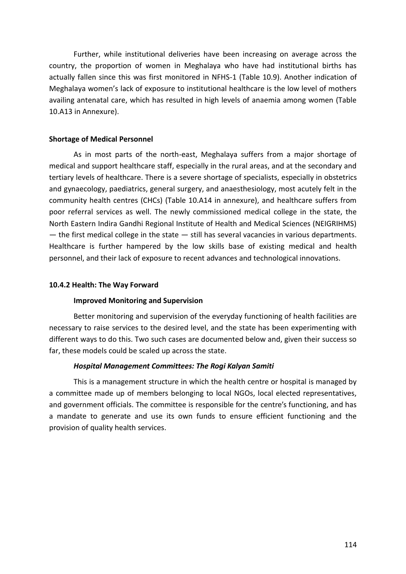Further, while institutional deliveries have been increasing on average across the country, the proportion of women in Meghalaya who have had institutional births has actually fallen since this was first monitored in NFHS-1 (Table 10.9). Another indication of Meghalaya women's lack of exposure to institutional healthcare is the low level of mothers availing antenatal care, which has resulted in high levels of anaemia among women (Table 10.A13 in Annexure).

## **Shortage of Medical Personnel**

As in most parts of the north-east, Meghalaya suffers from a major shortage of medical and support healthcare staff, especially in the rural areas, and at the secondary and tertiary levels of healthcare. There is a severe shortage of specialists, especially in obstetrics and gynaecology, paediatrics, general surgery, and anaesthesiology, most acutely felt in the community health centres (CHCs) (Table 10.A14 in annexure), and healthcare suffers from poor referral services as well. The newly commissioned medical college in the state, the North Eastern Indira Gandhi Regional Institute of Health and Medical Sciences (NEIGRIHMS)  $-$  the first medical college in the state  $-$  still has several vacancies in various departments. Healthcare is further hampered by the low skills base of existing medical and health personnel, and their lack of exposure to recent advances and technological innovations.

### **10.4.2 Health: The Way Forward**

# **Improved Monitoring and Supervision**

Better monitoring and supervision of the everyday functioning of health facilities are necessary to raise services to the desired level, and the state has been experimenting with different ways to do this. Two such cases are documented below and, given their success so far, these models could be scaled up across the state.

# *Hospital Management Committees: The Rogi Kalyan Samiti*

This is a management structure in which the health centre or hospital is managed by a committee made up of members belonging to local NGOs, local elected representatives, and government officials. The committee is responsible for the centre's functioning, and has a mandate to generate and use its own funds to ensure efficient functioning and the provision of quality health services.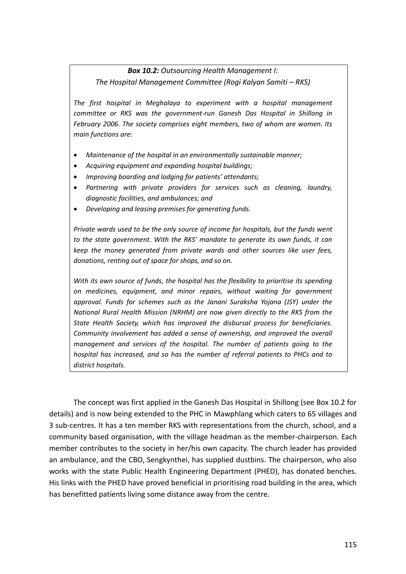# *Box 10.2: Outsourcing Health Management I: The Hospital Management Committee (Rogi Kalyan Samiti – RKS)*

*The first hospital in Meghalaya to experiment with a hospital management committee or RKS was the government-run Ganesh Das Hospital in Shillong in February 2006. The society comprises eight members, two of whom are women. Its main functions are:* 

- *Maintenance of the hospital in an environmentally sustainable manner;*
- *Acquiring equipment and expanding hospital buildings;*
- *Improving boarding and lodging for patients' attendants;*
- *Partnering with private providers for services such as cleaning, laundry, diagnostic facilities, and ambulances; and*
- *Developing and leasing premises for generating funds.*

*Private wards used to be the only source of income for hospitals, but the funds went to the state government. With the RKS' mandate to generate its own funds, it can keep the money generated from private wards and other sources like user fees, donations, renting out of space for shops, and so on.*

*With its own source of funds, the hospital has the flexibility to prioritise its spending on medicines, equipment, and minor repairs, without waiting for government approval. Funds for schemes such as the Janani Suraksha Yojana (JSY) under the National Rural Health Mission (NRHM) are now given directly to the RKS from the State Health Society, which has improved the disbursal process for beneficiaries. Community involvement has added a sense of ownership, and improved the overall management and services of the hospital. The number of patients going to the hospital has increased, and so has the number of referral patients to PHCs and to district hospitals.* 

The concept was first applied in the Ganesh Das Hospital in Shillong (see Box 10.2 for details) and is now being extended to the PHC in Mawphlang which caters to 65 villages and 3 sub-centres. It has a ten member RKS with representations from the church, school, and a community based organisation, with the village headman as the member-chairperson. Each member contributes to the society in her/his own capacity. The church leader has provided an ambulance, and the CBO, Sengkynthei, has supplied dustbins. The chairperson, who also works with the state Public Health Engineering Department (PHED), has donated benches. His links with the PHED have proved beneficial in prioritising road building in the area, which has benefitted patients living some distance away from the centre.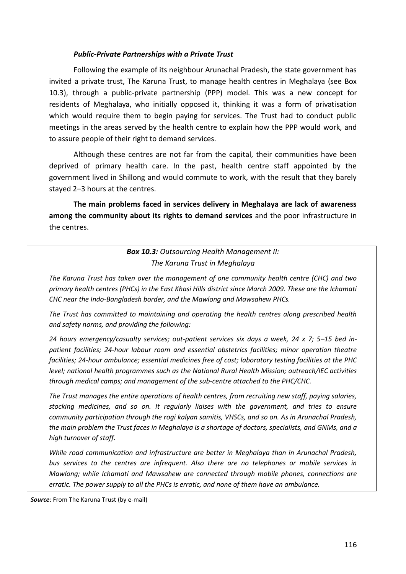#### *Public-Private Partnerships with a Private Trust*

Following the example of its neighbour Arunachal Pradesh, the state government has invited a private trust, The Karuna Trust, to manage health centres in Meghalaya (see Box 10.3), through a public-private partnership (PPP) model. This was a new concept for residents of Meghalaya, who initially opposed it, thinking it was a form of privatisation which would require them to begin paying for services. The Trust had to conduct public meetings in the areas served by the health centre to explain how the PPP would work, and to assure people of their right to demand services.

Although these centres are not far from the capital, their communities have been deprived of primary health care. In the past, health centre staff appointed by the government lived in Shillong and would commute to work, with the result that they barely stayed 2–3 hours at the centres.

**The main problems faced in services delivery in Meghalaya are lack of awareness among the community about its rights to demand services** and the poor infrastructure in the centres.

# *Box 10.3: Outsourcing Health Management II: The Karuna Trust in Meghalaya*

*The Karuna Trust has taken over the management of one community health centre (CHC) and two primary health centres (PHCs) in the East Khasi Hills district since March 2009. These are the Ichamati CHC near the Indo-Bangladesh border, and the Mawlong and Mawsahew PHCs.* 

*The Trust has committed to maintaining and operating the health centres along prescribed health and safety norms, and providing the following:* 

*24 hours emergency/casualty services; out-patient services six days a week, 24 x 7; 5–15 bed inpatient facilities; 24-hour labour room and essential obstetrics facilities; minor operation theatre facilities; 24-hour ambulance; essential medicines free of cost; laboratory testing facilities at the PHC level; national health programmes such as the National Rural Health Mission; outreach/IEC activities through medical camps; and management of the sub-centre attached to the PHC/CHC.* 

*The Trust manages the entire operations of health centres, from recruiting new staff, paying salaries, stocking medicines, and so on. It regularly liaises with the government, and tries to ensure community participation through the rogi kalyan samitis, VHSCs, and so on. As in Arunachal Pradesh, the main problem the Trust faces in Meghalaya is a shortage of doctors, specialists, and GNMs, and a high turnover of staff.*

*While road communication and infrastructure are better in Meghalaya than in Arunachal Pradesh, bus services to the centres are infrequent. Also there are no telephones or mobile services in Mawlong; while Ichamati and Mawsahew are connected through mobile phones, connections are erratic. The power supply to all the PHCs is erratic, and none of them have an ambulance.*

*Source*: From The Karuna Trust (by e-mail)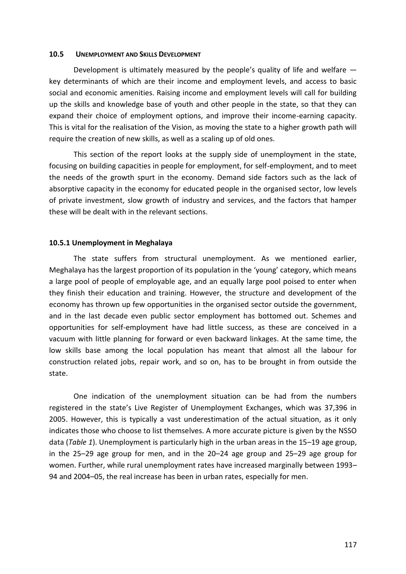#### **10.5 UNEMPLOYMENT AND SKILLS DEVELOPMENT**

Development is ultimately measured by the people's quality of life and welfare key determinants of which are their income and employment levels, and access to basic social and economic amenities. Raising income and employment levels will call for building up the skills and knowledge base of youth and other people in the state, so that they can expand their choice of employment options, and improve their income-earning capacity. This is vital for the realisation of the Vision, as moving the state to a higher growth path will require the creation of new skills, as well as a scaling up of old ones.

This section of the report looks at the supply side of unemployment in the state, focusing on building capacities in people for employment, for self-employment, and to meet the needs of the growth spurt in the economy. Demand side factors such as the lack of absorptive capacity in the economy for educated people in the organised sector, low levels of private investment, slow growth of industry and services, and the factors that hamper these will be dealt with in the relevant sections.

#### **10.5.1 Unemployment in Meghalaya**

The state suffers from structural unemployment. As we mentioned earlier, Meghalaya has the largest proportion of its population in the 'young' category, which means a large pool of people of employable age, and an equally large pool poised to enter when they finish their education and training. However, the structure and development of the economy has thrown up few opportunities in the organised sector outside the government, and in the last decade even public sector employment has bottomed out. Schemes and opportunities for self-employment have had little success, as these are conceived in a vacuum with little planning for forward or even backward linkages. At the same time, the low skills base among the local population has meant that almost all the labour for construction related jobs, repair work, and so on, has to be brought in from outside the state.

One indication of the unemployment situation can be had from the numbers registered in the state's Live Register of Unemployment Exchanges, which was 37,396 in 2005. However, this is typically a vast underestimation of the actual situation, as it only indicates those who choose to list themselves. A more accurate picture is given by the NSSO data (*Table 1*). Unemployment is particularly high in the urban areas in the 15–19 age group, in the 25–29 age group for men, and in the 20–24 age group and 25–29 age group for women. Further, while rural unemployment rates have increased marginally between 1993– 94 and 2004–05, the real increase has been in urban rates, especially for men.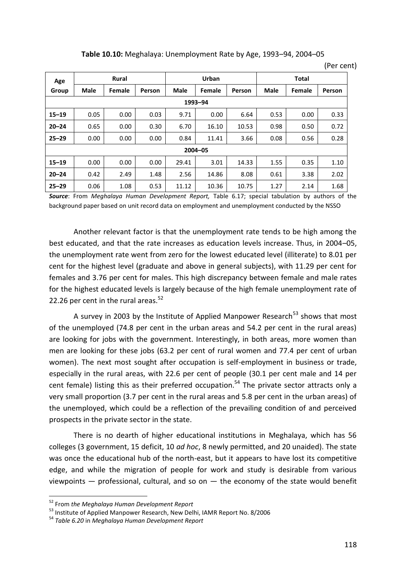**Table 10.10:** Meghalaya: Unemployment Rate by Age, 1993–94, 2004–05

(Per cent)

| Age       | <b>Rural</b> |        |        | Urban       |        | <b>Total</b> |             |        |        |  |
|-----------|--------------|--------|--------|-------------|--------|--------------|-------------|--------|--------|--|
| Group     | <b>Male</b>  | Female | Person | <b>Male</b> | Female | Person       | <b>Male</b> | Female | Person |  |
| 1993-94   |              |        |        |             |        |              |             |        |        |  |
| $15 - 19$ | 0.05         | 0.00   | 0.03   | 9.71        | 0.00   | 6.64         | 0.53        | 0.00   | 0.33   |  |
| $20 - 24$ | 0.65         | 0.00   | 0.30   | 6.70        | 16.10  | 10.53        | 0.98        | 0.50   | 0.72   |  |
| $25 - 29$ | 0.00         | 0.00   | 0.00   | 0.84        | 11.41  | 3.66         | 0.08        | 0.56   | 0.28   |  |
| 2004-05   |              |        |        |             |        |              |             |        |        |  |
| $15 - 19$ | 0.00         | 0.00   | 0.00   | 29.41       | 3.01   | 14.33        | 1.55        | 0.35   | 1.10   |  |
| $20 - 24$ | 0.42         | 2.49   | 1.48   | 2.56        | 14.86  | 8.08         | 0.61        | 3.38   | 2.02   |  |
| $25 - 29$ | 0.06         | 1.08   | 0.53   | 11.12       | 10.36  | 10.75        | 1.27        | 2.14   | 1.68   |  |

*Source*: From *Meghalaya Human Development Report,* Table 6.17; special tabulation by authors of the background paper based on unit record data on employment and unemployment conducted by the NSSO

Another relevant factor is that the unemployment rate tends to be high among the best educated, and that the rate increases as education levels increase. Thus, in 2004–05, the unemployment rate went from zero for the lowest educated level (illiterate) to 8.01 per cent for the highest level (graduate and above in general subjects), with 11.29 per cent for females and 3.76 per cent for males. This high discrepancy between female and male rates for the highest educated levels is largely because of the high female unemployment rate of 22.26 per cent in the rural areas. $52$ 

A survey in 2003 by the Institute of Applied Manpower Research<sup>53</sup> shows that most of the unemployed (74.8 per cent in the urban areas and 54.2 per cent in the rural areas) are looking for jobs with the government. Interestingly, in both areas, more women than men are looking for these jobs (63.2 per cent of rural women and 77.4 per cent of urban women). The next most sought after occupation is self-employment in business or trade, especially in the rural areas, with 22.6 per cent of people (30.1 per cent male and 14 per cent female) listing this as their preferred occupation.<sup>54</sup> The private sector attracts only a very small proportion (3.7 per cent in the rural areas and 5.8 per cent in the urban areas) of the unemployed, which could be a reflection of the prevailing condition of and perceived prospects in the private sector in the state.

There is no dearth of higher educational institutions in Meghalaya, which has 56 colleges (3 government, 15 deficit, 10 *ad hoc*, 8 newly permitted, and 20 unaided). The state was once the educational hub of the north-east, but it appears to have lost its competitive edge, and while the migration of people for work and study is desirable from various viewpoints  $-$  professional, cultural, and so on  $-$  the economy of the state would benefit

1

<sup>52</sup> From *the Meghalaya Human Development Report*

<sup>53</sup> Institute of Applied Manpower Research, New Delhi, IAMR Report No. 8/2006

<sup>54</sup> *Table 6.20* in *Meghalaya Human Development Report*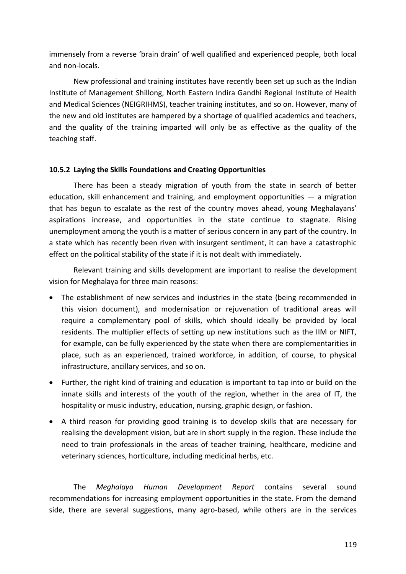immensely from a reverse 'brain drain' of well qualified and experienced people, both local and non-locals.

New professional and training institutes have recently been set up such as the Indian Institute of Management Shillong, North Eastern Indira Gandhi Regional Institute of Health and Medical Sciences (NEIGRIHMS), teacher training institutes, and so on. However, many of the new and old institutes are hampered by a shortage of qualified academics and teachers, and the quality of the training imparted will only be as effective as the quality of the teaching staff.

## **10.5.2 Laying the Skills Foundations and Creating Opportunities**

There has been a steady migration of youth from the state in search of better education, skill enhancement and training, and employment opportunities  $-$  a migration that has begun to escalate as the rest of the country moves ahead, young Meghalayans' aspirations increase, and opportunities in the state continue to stagnate. Rising unemployment among the youth is a matter of serious concern in any part of the country. In a state which has recently been riven with insurgent sentiment, it can have a catastrophic effect on the political stability of the state if it is not dealt with immediately.

Relevant training and skills development are important to realise the development vision for Meghalaya for three main reasons:

- The establishment of new services and industries in the state (being recommended in this vision document), and modernisation or rejuvenation of traditional areas will require a complementary pool of skills, which should ideally be provided by local residents. The multiplier effects of setting up new institutions such as the IIM or NIFT, for example, can be fully experienced by the state when there are complementarities in place, such as an experienced, trained workforce, in addition, of course, to physical infrastructure, ancillary services, and so on.
- Further, the right kind of training and education is important to tap into or build on the innate skills and interests of the youth of the region, whether in the area of IT, the hospitality or music industry, education, nursing, graphic design, or fashion.
- A third reason for providing good training is to develop skills that are necessary for realising the development vision, but are in short supply in the region. These include the need to train professionals in the areas of teacher training, healthcare, medicine and veterinary sciences, horticulture, including medicinal herbs, etc.

The *Meghalaya Human Development Report* contains several sound recommendations for increasing employment opportunities in the state. From the demand side, there are several suggestions, many agro-based, while others are in the services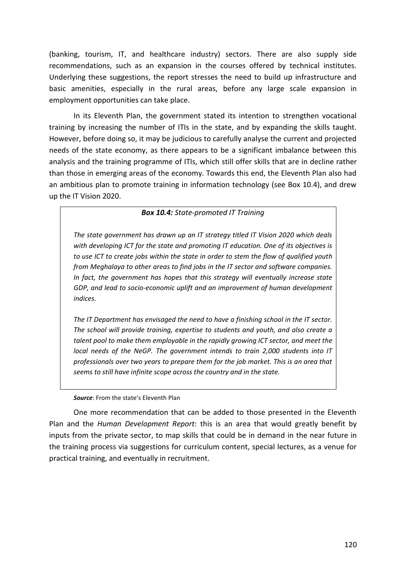(banking, tourism, IT, and healthcare industry) sectors. There are also supply side recommendations, such as an expansion in the courses offered by technical institutes. Underlying these suggestions, the report stresses the need to build up infrastructure and basic amenities, especially in the rural areas, before any large scale expansion in employment opportunities can take place.

In its Eleventh Plan, the government stated its intention to strengthen vocational training by increasing the number of ITIs in the state, and by expanding the skills taught. However, before doing so, it may be judicious to carefully analyse the current and projected needs of the state economy, as there appears to be a significant imbalance between this analysis and the training programme of ITIs, which still offer skills that are in decline rather than those in emerging areas of the economy. Towards this end, the Eleventh Plan also had an ambitious plan to promote training in information technology (see Box 10.4), and drew up the IT Vision 2020.

# *Box 10.4: State-promoted IT Training*

*The state government has drawn up an IT strategy titled IT Vision 2020 which deals with developing ICT for the state and promoting IT education. One of its objectives is to use ICT to create jobs within the state in order to stem the flow of qualified youth from Meghalaya to other areas to find jobs in the IT sector and software companies. In fact, the government has hopes that this strategy will eventually increase state GDP, and lead to socio-economic uplift and an improvement of human development indices.* 

*The IT Department has envisaged the need to have a finishing school in the IT sector. The school will provide training, expertise to students and youth, and also create a talent pool to make them employable in the rapidly growing ICT sector, and meet the local needs of the NeGP. The government intends to train 2,000 students into IT professionals over two years to prepare them for the job market. This is an area that seems to still have infinite scope across the country and in the state.* 

#### *Source*: From the state's Eleventh Plan

One more recommendation that can be added to those presented in the Eleventh Plan and the *Human Development Report*: this is an area that would greatly benefit by inputs from the private sector, to map skills that could be in demand in the near future in the training process via suggestions for curriculum content, special lectures, as a venue for practical training, and eventually in recruitment.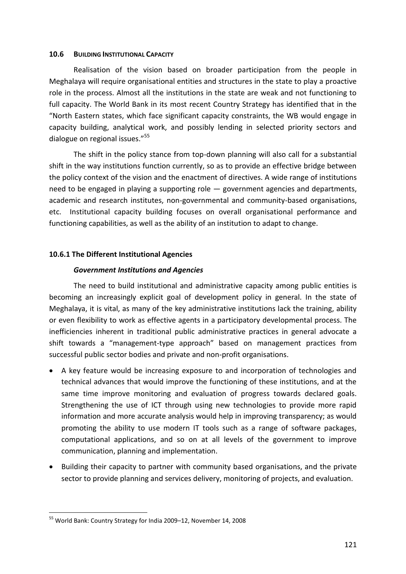### **10.6 BUILDING INSTITUTIONAL CAPACITY**

Realisation of the vision based on broader participation from the people in Meghalaya will require organisational entities and structures in the state to play a proactive role in the process. Almost all the institutions in the state are weak and not functioning to full capacity. The World Bank in its most recent Country Strategy has identified that in the "North Eastern states, which face significant capacity constraints, the WB would engage in capacity building, analytical work, and possibly lending in selected priority sectors and dialogue on regional issues."<sup>55</sup>

The shift in the policy stance from top-down planning will also call for a substantial shift in the way institutions function currently, so as to provide an effective bridge between the policy context of the vision and the enactment of directives. A wide range of institutions need to be engaged in playing a supporting role — government agencies and departments, academic and research institutes, non-governmental and community-based organisations, etc. Institutional capacity building focuses on overall organisational performance and functioning capabilities, as well as the ability of an institution to adapt to change.

# **10.6.1 The Different Institutional Agencies**

# *Government Institutions and Agencies*

The need to build institutional and administrative capacity among public entities is becoming an increasingly explicit goal of development policy in general. In the state of Meghalaya, it is vital, as many of the key administrative institutions lack the training, ability or even flexibility to work as effective agents in a participatory developmental process. The inefficiencies inherent in traditional public administrative practices in general advocate a shift towards a "management-type approach" based on management practices from successful public sector bodies and private and non-profit organisations.

- A key feature would be increasing exposure to and incorporation of technologies and technical advances that would improve the functioning of these institutions, and at the same time improve monitoring and evaluation of progress towards declared goals. Strengthening the use of ICT through using new technologies to provide more rapid information and more accurate analysis would help in improving transparency; as would promoting the ability to use modern IT tools such as a range of software packages, computational applications, and so on at all levels of the government to improve communication, planning and implementation.
- Building their capacity to partner with community based organisations, and the private sector to provide planning and services delivery, monitoring of projects, and evaluation.

<sup>1</sup> <sup>55</sup> World Bank: Country Strategy for India 2009–12, November 14, 2008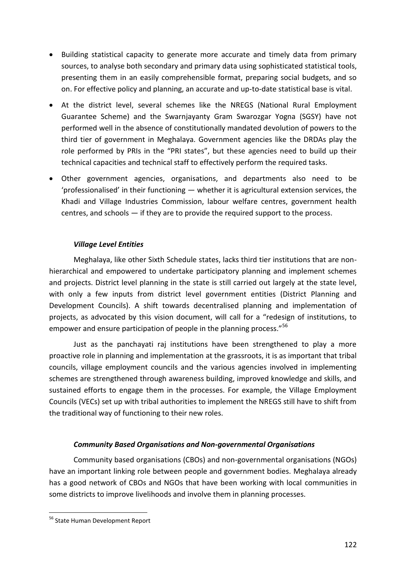- Building statistical capacity to generate more accurate and timely data from primary sources, to analyse both secondary and primary data using sophisticated statistical tools, presenting them in an easily comprehensible format, preparing social budgets, and so on. For effective policy and planning, an accurate and up-to-date statistical base is vital.
- At the district level, several schemes like the NREGS (National Rural Employment Guarantee Scheme) and the Swarnjayanty Gram Swarozgar Yogna (SGSY) have not performed well in the absence of constitutionally mandated devolution of powers to the third tier of government in Meghalaya. Government agencies like the DRDAs play the role performed by PRIs in the "PRI states", but these agencies need to build up their technical capacities and technical staff to effectively perform the required tasks.
- Other government agencies, organisations, and departments also need to be 'professionalised' in their functioning — whether it is agricultural extension services, the Khadi and Village Industries Commission, labour welfare centres, government health centres, and schools — if they are to provide the required support to the process.

# *Village Level Entities*

Meghalaya, like other Sixth Schedule states, lacks third tier institutions that are nonhierarchical and empowered to undertake participatory planning and implement schemes and projects. District level planning in the state is still carried out largely at the state level, with only a few inputs from district level government entities (District Planning and Development Councils). A shift towards decentralised planning and implementation of projects, as advocated by this vision document, will call for a "redesign of institutions, to empower and ensure participation of people in the planning process."<sup>56</sup>

Just as the panchayati raj institutions have been strengthened to play a more proactive role in planning and implementation at the grassroots, it is as important that tribal councils, village employment councils and the various agencies involved in implementing schemes are strengthened through awareness building, improved knowledge and skills, and sustained efforts to engage them in the processes. For example, the Village Employment Councils (VECs) set up with tribal authorities to implement the NREGS still have to shift from the traditional way of functioning to their new roles.

# *Community Based Organisations and Non-governmental Organisations*

Community based organisations (CBOs) and non-governmental organisations (NGOs) have an important linking role between people and government bodies. Meghalaya already has a good network of CBOs and NGOs that have been working with local communities in some districts to improve livelihoods and involve them in planning processes.

<sup>1</sup> <sup>56</sup> State Human Development Report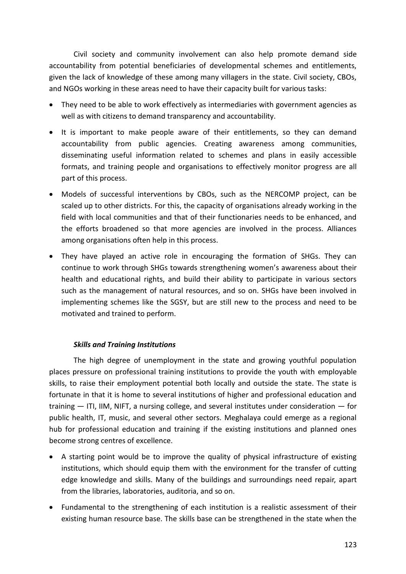Civil society and community involvement can also help promote demand side accountability from potential beneficiaries of developmental schemes and entitlements, given the lack of knowledge of these among many villagers in the state. Civil society, CBOs, and NGOs working in these areas need to have their capacity built for various tasks:

- They need to be able to work effectively as intermediaries with government agencies as well as with citizens to demand transparency and accountability.
- It is important to make people aware of their entitlements, so they can demand accountability from public agencies. Creating awareness among communities, disseminating useful information related to schemes and plans in easily accessible formats, and training people and organisations to effectively monitor progress are all part of this process.
- Models of successful interventions by CBOs, such as the NERCOMP project, can be scaled up to other districts. For this, the capacity of organisations already working in the field with local communities and that of their functionaries needs to be enhanced, and the efforts broadened so that more agencies are involved in the process. Alliances among organisations often help in this process.
- They have played an active role in encouraging the formation of SHGs. They can continue to work through SHGs towards strengthening women's awareness about their health and educational rights, and build their ability to participate in various sectors such as the management of natural resources, and so on. SHGs have been involved in implementing schemes like the SGSY, but are still new to the process and need to be motivated and trained to perform.

# *Skills and Training Institutions*

The high degree of unemployment in the state and growing youthful population places pressure on professional training institutions to provide the youth with employable skills, to raise their employment potential both locally and outside the state. The state is fortunate in that it is home to several institutions of higher and professional education and training — ITI, IIM, NIFT, a nursing college, and several institutes under consideration — for public health, IT, music, and several other sectors. Meghalaya could emerge as a regional hub for professional education and training if the existing institutions and planned ones become strong centres of excellence.

- A starting point would be to improve the quality of physical infrastructure of existing institutions, which should equip them with the environment for the transfer of cutting edge knowledge and skills. Many of the buildings and surroundings need repair, apart from the libraries, laboratories, auditoria, and so on.
- Fundamental to the strengthening of each institution is a realistic assessment of their existing human resource base. The skills base can be strengthened in the state when the